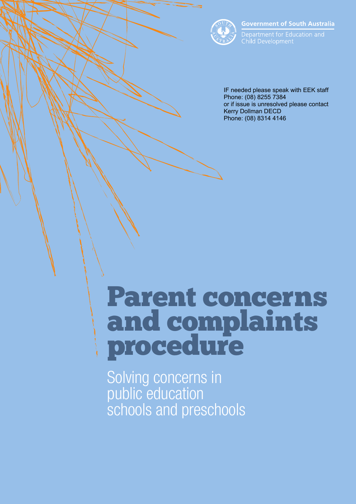

**Government of South Australia** 

Department for Education and Child Development

IF needed please speak with EEK staff Phone: (08) 8255 7384 or if issue is unresolved please contact Kerry Dollman DECD Phone: (08) 8314 4146

# Parent concerns and complaints procedure

Solving concerns in public education schools and preschools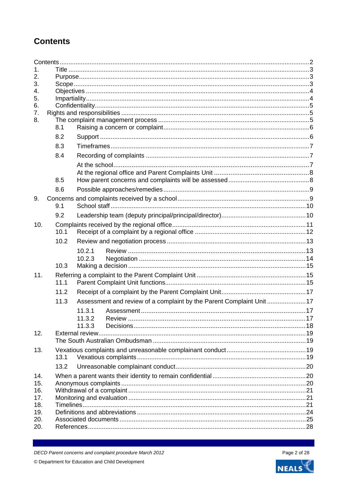# <span id="page-1-0"></span>**Contents**

| 1.       |      |                          |                                                                      |  |  |  |
|----------|------|--------------------------|----------------------------------------------------------------------|--|--|--|
| 2.       |      |                          |                                                                      |  |  |  |
| 3.       |      |                          |                                                                      |  |  |  |
| 4.       |      |                          |                                                                      |  |  |  |
| 5.<br>6. |      |                          |                                                                      |  |  |  |
| 7.       |      |                          |                                                                      |  |  |  |
| 8.       |      |                          |                                                                      |  |  |  |
|          | 8.1  |                          |                                                                      |  |  |  |
|          | 8.2  |                          |                                                                      |  |  |  |
|          | 8.3  |                          |                                                                      |  |  |  |
|          |      |                          |                                                                      |  |  |  |
|          | 8.4  |                          |                                                                      |  |  |  |
|          |      |                          |                                                                      |  |  |  |
|          |      |                          |                                                                      |  |  |  |
|          | 8.5  |                          |                                                                      |  |  |  |
|          | 8.6  |                          |                                                                      |  |  |  |
| 9.       |      |                          |                                                                      |  |  |  |
|          | 9.1  |                          |                                                                      |  |  |  |
|          | 9.2  |                          |                                                                      |  |  |  |
| 10.      |      |                          |                                                                      |  |  |  |
|          | 10.1 |                          |                                                                      |  |  |  |
|          | 10.2 |                          |                                                                      |  |  |  |
|          |      | 10.2.1                   |                                                                      |  |  |  |
|          |      | 10.2.3                   |                                                                      |  |  |  |
|          | 10.3 |                          |                                                                      |  |  |  |
| 11.      |      |                          |                                                                      |  |  |  |
|          | 11.1 |                          |                                                                      |  |  |  |
|          | 11.2 |                          |                                                                      |  |  |  |
|          | 11.3 |                          | Assessment and review of a complaint by the Parent Complaint Unit 17 |  |  |  |
|          |      | 11.3.1                   |                                                                      |  |  |  |
|          |      | 11.3.2                   |                                                                      |  |  |  |
|          |      | 11 $\ddot{3}$ $\ddot{3}$ | Decisions                                                            |  |  |  |
| 12.      |      |                          |                                                                      |  |  |  |
|          |      |                          |                                                                      |  |  |  |
| 13.      |      |                          |                                                                      |  |  |  |
|          | 13.1 |                          |                                                                      |  |  |  |
|          | 13.2 |                          |                                                                      |  |  |  |
| 14.      |      |                          |                                                                      |  |  |  |
| 15.      |      |                          |                                                                      |  |  |  |
| 16.      |      |                          |                                                                      |  |  |  |
| 17.      |      |                          |                                                                      |  |  |  |
| 18.      |      |                          |                                                                      |  |  |  |
| 19.      |      |                          |                                                                      |  |  |  |
| 20.      |      |                          |                                                                      |  |  |  |
| 20.      |      |                          |                                                                      |  |  |  |

DECD Parent concerns and complaint procedure March 2012 © Department for Education and Child Development

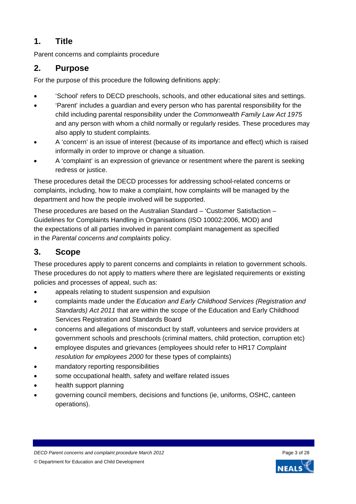# <span id="page-2-0"></span>**1. Title**

Parent concerns and complaints procedure

# <span id="page-2-1"></span>**2. Purpose**

For the purpose of this procedure the following definitions apply:

- 'School' refers to DECD preschools, schools, and other educational sites and settings.
- 'Parent' includes a guardian and every person who has parental responsibility for the child including parental responsibility under the *Commonwealth Family Law Act 1975* and any person with whom a child normally or regularly resides. These procedures may also apply to student complaints.
- A 'concern' is an issue of interest (because of its importance and effect) which is raised informally in order to improve or change a situation.
- A 'complaint' is an expression of grievance or resentment where the parent is seeking redress or justice.

These procedures detail the DECD processes for addressing school-related concerns or complaints, including, how to make a complaint, how complaints will be managed by the department and how the people involved will be supported.

These procedures are based on the Australian Standard – 'Customer Satisfaction – Guidelines for Complaints Handling in Organisations (ISO 10002:2006, MOD) and the expectations of all parties involved in parent complaint management as specified in the *Parental concerns and complaints* policy.

# <span id="page-2-2"></span>**3. Scope**

These procedures apply to parent concerns and complaints in relation to government schools. These procedures do not apply to matters where there are legislated requirements or existing policies and processes of appeal, such as:

- appeals relating to student suspension and expulsion
- complaints made under the *Education and Early Childhood Services (Registration and Standards) Act 2011* that are within the scope of the Education and Early Childhood Services Registration and Standards Board
- concerns and allegations of misconduct by staff, volunteers and service providers at government schools and preschools (criminal matters, child protection, corruption etc)
- employee disputes and grievances (employees should refer to HR17 *Complaint resolution for employees 2000* for these types of complaints)
- mandatory reporting responsibilities
- some occupational health, safety and welfare related issues
- health support planning
- governing council members, decisions and functions (ie, uniforms, OSHC, canteen operations).

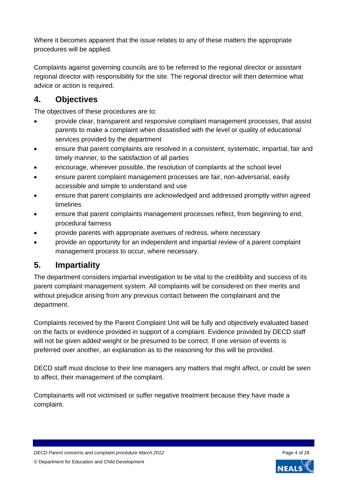Where it becomes apparent that the issue relates to any of these matters the appropriate procedures will be applied.

Complaints against governing councils are to be referred to the regional director or assistant regional director with responsibility for the site. The regional director will then determine what advice or action is required.

# <span id="page-3-0"></span>**4. Objectives**

The objectives of these procedures are to:

- provide clear, transparent and responsive complaint management processes, that assist parents to make a complaint when dissatisfied with the level or quality of educational services provided by the department
- ensure that parent complaints are resolved in a consistent, systematic, impartial, fair and timely manner, to the satisfaction of all parties
- encourage, wherever possible, the resolution of complaints at the school level
- ensure parent complaint management processes are fair, non-adversarial, easily accessible and simple to understand and use
- ensure that parent complaints are acknowledged and addressed promptly within agreed timelines
- ensure that parent complaints management processes reflect, from beginning to end, procedural fairness
- provide parents with appropriate avenues of redress, where necessary
- provide an opportunity for an independent and impartial review of a parent complaint management process to occur, where necessary.

# <span id="page-3-1"></span>**5. Impartiality**

The department considers impartial investigation to be vital to the credibility and success of its parent complaint management system. All complaints will be considered on their merits and without prejudice arising from any previous contact between the complainant and the department.

Complaints received by the Parent Complaint Unit will be fully and objectively evaluated based on the facts or evidence provided in support of a complaint. Evidence provided by DECD staff will not be given added weight or be presumed to be correct. If one version of events is preferred over another, an explanation as to the reasoning for this will be provided.

DECD staff must disclose to their line managers any matters that might affect, or could be seen to affect, their management of the complaint.

Complainants will not victimised or suffer negative treatment because they have made a complaint.

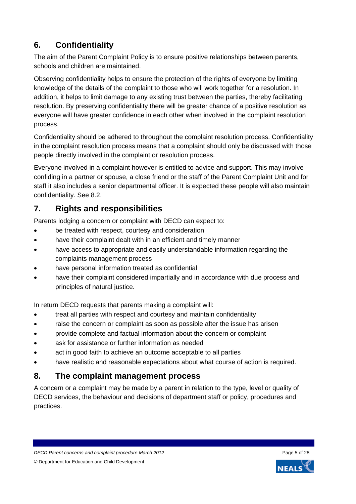# <span id="page-4-0"></span>**6. Confidentiality**

The aim of the Parent Complaint Policy is to ensure positive relationships between parents, schools and children are maintained.

Observing confidentiality helps to ensure the protection of the rights of everyone by limiting knowledge of the details of the complaint to those who will work together for a resolution. In addition, it helps to limit damage to any existing trust between the parties, thereby facilitating resolution. By preserving confidentiality there will be greater chance of a positive resolution as everyone will have greater confidence in each other when involved in the complaint resolution process.

Confidentiality should be adhered to throughout the complaint resolution process. Confidentiality in the complaint resolution process means that a complaint should only be discussed with those people directly involved in the complaint or resolution process.

Everyone involved in a complaint however is entitled to advice and support. This may involve confiding in a partner or spouse, a close friend or the staff of the Parent Complaint Unit and for staff it also includes a senior departmental officer. It is expected these people will also maintain confidentiality. See 8.2.

# <span id="page-4-1"></span>**7. Rights and responsibilities**

Parents lodging a concern or complaint with DECD can expect to:

- be treated with respect, courtesy and consideration
- have their complaint dealt with in an efficient and timely manner
- have access to appropriate and easily understandable information regarding the complaints management process
- have personal information treated as confidential
- have their complaint considered impartially and in accordance with due process and principles of natural justice.

In return DECD requests that parents making a complaint will:

- treat all parties with respect and courtesy and maintain confidentiality
- raise the concern or complaint as soon as possible after the issue has arisen
- provide complete and factual information about the concern or complaint
- ask for assistance or further information as needed
- act in good faith to achieve an outcome acceptable to all parties
- have realistic and reasonable expectations about what course of action is required.

# <span id="page-4-2"></span>**8. The complaint management process**

A concern or a complaint may be made by a parent in relation to the type, level or quality of DECD services, the behaviour and decisions of department staff or policy, procedures and practices.

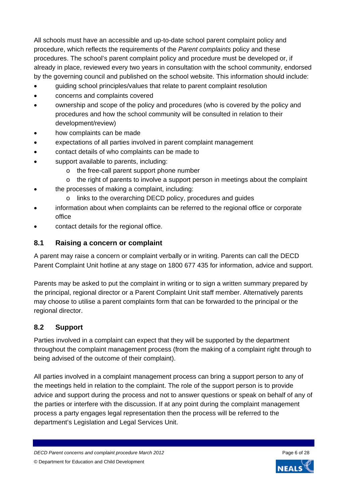All schools must have an accessible and up-to-date school parent complaint policy and procedure, which reflects the requirements of the *Parent complaints* policy and these procedures. The school's parent complaint policy and procedure must be developed or, if already in place, reviewed every two years in consultation with the school community, endorsed by the governing council and published on the school website. This information should include:

- guiding school principles/values that relate to parent complaint resolution
- concerns and complaints covered
- ownership and scope of the policy and procedures (who is covered by the policy and procedures and how the school community will be consulted in relation to their development/review)
- how complaints can be made
- expectations of all parties involved in parent complaint management
- contact details of who complaints can be made to
- support available to parents, including:
	- o the free-call parent support phone number
	- o the right of parents to involve a support person in meetings about the complaint
- the processes of making a complaint, including:
	- o links to the overarching DECD policy, procedures and guides
- information about when complaints can be referred to the regional office or corporate office
- contact details for the regional office.

#### <span id="page-5-0"></span>**8.1 Raising a concern or complaint**

A parent may raise a concern or complaint verbally or in writing. Parents can call the DECD Parent Complaint Unit hotline at any stage on 1800 677 435 for information, advice and support.

Parents may be asked to put the complaint in writing or to sign a written summary prepared by the principal, regional director or a Parent Complaint Unit staff member. Alternatively parents may choose to utilise a parent complaints form that can be forwarded to the principal or the regional director.

#### <span id="page-5-1"></span>**8.2 Support**

Parties involved in a complaint can expect that they will be supported by the department throughout the complaint management process (from the making of a complaint right through to being advised of the outcome of their complaint).

All parties involved in a complaint management process can bring a support person to any of the meetings held in relation to the complaint. The role of the support person is to provide advice and support during the process and not to answer questions or speak on behalf of any of the parties or interfere with the discussion. If at any point during the complaint management process a party engages legal representation then the process will be referred to the department's Legislation and Legal Services Unit.

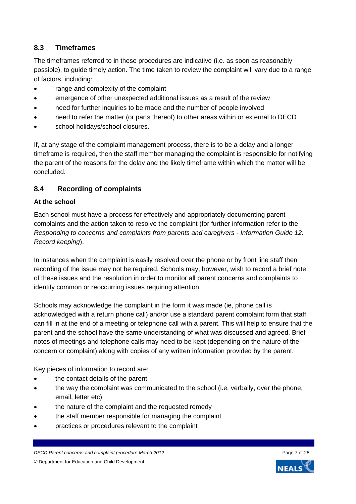### <span id="page-6-0"></span>**8.3 Timeframes**

The timeframes referred to in these procedures are indicative (i.e. as soon as reasonably possible), to guide timely action. The time taken to review the complaint will vary due to a range of factors, including:

- range and complexity of the complaint
- emergence of other unexpected additional issues as a result of the review
- need for further inquiries to be made and the number of people involved
- need to refer the matter (or parts thereof) to other areas within or external to DECD
- school holidays/school closures.

If, at any stage of the complaint management process, there is to be a delay and a longer timeframe is required, then the staff member managing the complaint is responsible for notifying the parent of the reasons for the delay and the likely timeframe within which the matter will be concluded.

#### <span id="page-6-1"></span>**8.4 Recording of complaints**

#### <span id="page-6-2"></span>**At the school**

Each school must have a process for effectively and appropriately documenting parent complaints and the action taken to resolve the complaint (for further information refer to the *Responding to concerns and complaints from parents and caregivers - Information Guide 12: Record keeping*).

In instances when the complaint is easily resolved over the phone or by front line staff then recording of the issue may not be required. Schools may, however, wish to record a brief note of these issues and the resolution in order to monitor all parent concerns and complaints to identify common or reoccurring issues requiring attention.

Schools may acknowledge the complaint in the form it was made (ie, phone call is acknowledged with a return phone call) and/or use a standard parent complaint form that staff can fill in at the end of a meeting or telephone call with a parent. This will help to ensure that the parent and the school have the same understanding of what was discussed and agreed. Brief notes of meetings and telephone calls may need to be kept (depending on the nature of the concern or complaint) along with copies of any written information provided by the parent.

Key pieces of information to record are:

- the contact details of the parent
- the way the complaint was communicated to the school (i.e. verbally, over the phone, email, letter etc)
- the nature of the complaint and the requested remedy
- the staff member responsible for managing the complaint
- practices or procedures relevant to the complaint

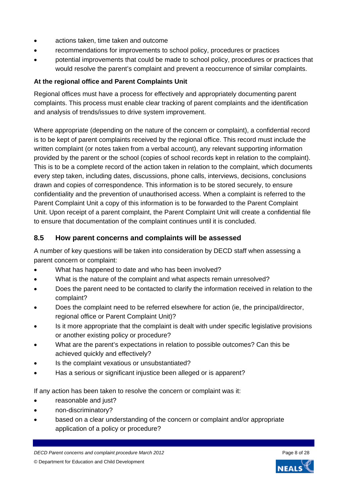- actions taken, time taken and outcome
- recommendations for improvements to school policy, procedures or practices
- potential improvements that could be made to school policy, procedures or practices that would resolve the parent's complaint and prevent a reoccurrence of similar complaints.

#### <span id="page-7-0"></span>**At the regional office and Parent Complaints Unit**

Regional offices must have a process for effectively and appropriately documenting parent complaints. This process must enable clear tracking of parent complaints and the identification and analysis of trends/issues to drive system improvement.

Where appropriate (depending on the nature of the concern or complaint), a confidential record is to be kept of parent complaints received by the regional office. This record must include the written complaint (or notes taken from a verbal account), any relevant supporting information provided by the parent or the school (copies of school records kept in relation to the complaint). This is to be a complete record of the action taken in relation to the complaint, which documents every step taken, including dates, discussions, phone calls, interviews, decisions, conclusions drawn and copies of correspondence. This information is to be stored securely, to ensure confidentiality and the prevention of unauthorised access. When a complaint is referred to the Parent Complaint Unit a copy of this information is to be forwarded to the Parent Complaint Unit. Upon receipt of a parent complaint, the Parent Complaint Unit will create a confidential file to ensure that documentation of the complaint continues until it is concluded.

### <span id="page-7-1"></span>**8.5 How parent concerns and complaints will be assessed**

A number of key questions will be taken into consideration by DECD staff when assessing a parent concern or complaint:

- What has happened to date and who has been involved?
- What is the nature of the complaint and what aspects remain unresolved?
- Does the parent need to be contacted to clarify the information received in relation to the complaint?
- Does the complaint need to be referred elsewhere for action (ie, the principal/director, regional office or Parent Complaint Unit)?
- Is it more appropriate that the complaint is dealt with under specific legislative provisions or another existing policy or procedure?
- What are the parent's expectations in relation to possible outcomes? Can this be achieved quickly and effectively?
- Is the complaint vexatious or unsubstantiated?
- Has a serious or significant injustice been alleged or is apparent?

If any action has been taken to resolve the concern or complaint was it:

- reasonable and just?
- non-discriminatory?
- based on a clear understanding of the concern or complaint and/or appropriate application of a policy or procedure?

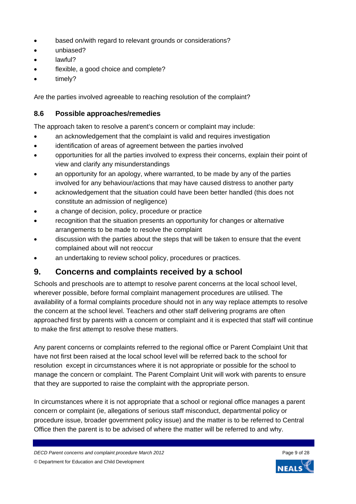- based on/with regard to relevant grounds or considerations?
- unbiased?
- **a** lawful?
- flexible, a good choice and complete?
- timely?

Are the parties involved agreeable to reaching resolution of the complaint?

#### <span id="page-8-0"></span>**8.6 Possible approaches/remedies**

The approach taken to resolve a parent's concern or complaint may include:

- an acknowledgement that the complaint is valid and requires investigation
- identification of areas of agreement between the parties involved
- opportunities for all the parties involved to express their concerns, explain their point of view and clarify any misunderstandings
- an opportunity for an apology, where warranted, to be made by any of the parties involved for any behaviour/actions that may have caused distress to another party
- acknowledgement that the situation could have been better handled (this does not constitute an admission of negligence)
- a change of decision, policy, procedure or practice
- recognition that the situation presents an opportunity for changes or alternative arrangements to be made to resolve the complaint
- discussion with the parties about the steps that will be taken to ensure that the event complained about will not reoccur
- an undertaking to review school policy, procedures or practices.

## <span id="page-8-1"></span>**9. Concerns and complaints received by a school**

Schools and preschools are to attempt to resolve parent concerns at the local school level, wherever possible, before formal complaint management procedures are utilised. The availability of a formal complaints procedure should not in any way replace attempts to resolve the concern at the school level. Teachers and other staff delivering programs are often approached first by parents with a concern or complaint and it is expected that staff will continue to make the first attempt to resolve these matters.

Any parent concerns or complaints referred to the regional office or Parent Complaint Unit that have not first been raised at the local school level will be referred back to the school for resolution except in circumstances where it is not appropriate or possible for the school to manage the concern or complaint. The Parent Complaint Unit will work with parents to ensure that they are supported to raise the complaint with the appropriate person.

In circumstances where it is not appropriate that a school or regional office manages a parent concern or complaint (ie, allegations of serious staff misconduct, departmental policy or procedure issue, broader government policy issue) and the matter is to be referred to Central Office then the parent is to be advised of where the matter will be referred to and why.

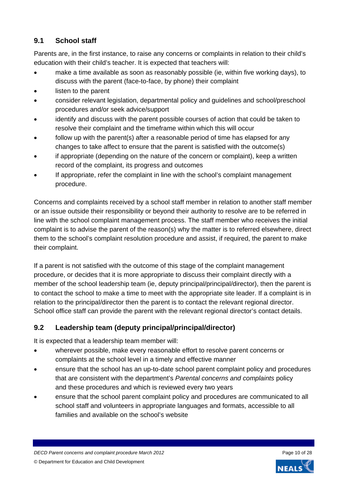## <span id="page-9-0"></span>**9.1 School staff**

Parents are, in the first instance, to raise any concerns or complaints in relation to their child's education with their child's teacher. It is expected that teachers will:

- make a time available as soon as reasonably possible (ie, within five working days), to discuss with the parent (face-to-face, by phone) their complaint
- listen to the parent
- consider relevant legislation, departmental policy and guidelines and school/preschool procedures and/or seek advice/support
- identify and discuss with the parent possible courses of action that could be taken to resolve their complaint and the timeframe within which this will occur
- follow up with the parent(s) after a reasonable period of time has elapsed for any changes to take affect to ensure that the parent is satisfied with the outcome(s)
- if appropriate (depending on the nature of the concern or complaint), keep a written record of the complaint, its progress and outcomes
- If appropriate, refer the complaint in line with the school's complaint management procedure.

Concerns and complaints received by a school staff member in relation to another staff member or an issue outside their responsibility or beyond their authority to resolve are to be referred in line with the school complaint management process. The staff member who receives the initial complaint is to advise the parent of the reason(s) why the matter is to referred elsewhere, direct them to the school's complaint resolution procedure and assist, if required, the parent to make their complaint.

If a parent is not satisfied with the outcome of this stage of the complaint management procedure, or decides that it is more appropriate to discuss their complaint directly with a member of the school leadership team (ie, deputy principal/principal/director), then the parent is to contact the school to make a time to meet with the appropriate site leader. If a complaint is in relation to the principal/director then the parent is to contact the relevant regional director. School office staff can provide the parent with the relevant regional director's contact details.

## <span id="page-9-1"></span>**9.2 Leadership team (deputy principal/principal/director)**

It is expected that a leadership team member will:

- wherever possible, make every reasonable effort to resolve parent concerns or complaints at the school level in a timely and effective manner
- ensure that the school has an up-to-date school parent complaint policy and procedures that are consistent with the department's *Parental concerns and complaints* policy and these procedures and which is reviewed every two years
- ensure that the school parent complaint policy and procedures are communicated to all school staff and volunteers in appropriate languages and formats, accessible to all families and available on the school's website

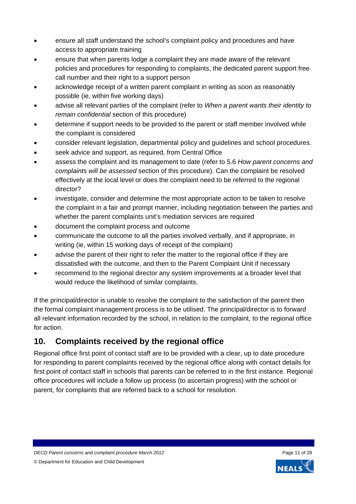- ensure all staff understand the school's complaint policy and procedures and have access to appropriate training
- ensure that when parents lodge a complaint they are made aware of the relevant policies and procedures for responding to complaints, the dedicated parent support free call number and their right to a support person
- acknowledge receipt of a written parent complaint in writing as soon as reasonably possible (ie, within five working days)
- advise all relevant parties of the complaint (refer to *When a parent wants their identity to remain confidential* section of this procedure)
- determine if support needs to be provided to the parent or staff member involved while the complaint is considered
- consider relevant legislation, departmental policy and guidelines and school procedures.
- seek advice and support, as required, from Central Office
- assess the complaint and its management to date (refer to 5.6 *How parent concerns and complaints will be assessed* section of this procedure). Can the complaint be resolved effectively at the local level or does the complaint need to be referred to the regional director?
- investigate, consider and determine the most appropriate action to be taken to resolve the complaint in a fair and prompt manner, including negotiation between the parties and whether the parent complaints unit's mediation services are required
- document the complaint process and outcome
- communicate the outcome to all the parties involved verbally, and if appropriate, in writing (ie, within 15 working days of receipt of the complaint)
- advise the parent of their right to refer the matter to the regional office if they are dissatisfied with the outcome, and then to the Parent Complaint Unit if necessary
- recommend to the regional director any system improvements at a broader level that would reduce the likelihood of similar complaints.

If the principal/director is unable to resolve the complaint to the satisfaction of the parent then the formal complaint management process is to be utilised. The principal/director is to forward all relevant information recorded by the school, in relation to the complaint, to the regional office for action.

# <span id="page-10-0"></span>**10. Complaints received by the regional office**

Regional office first point of contact staff are to be provided with a clear, up to date procedure for responding to parent complaints received by the regional office along with contact details for first point of contact staff in schools that parents can be referred to in the first instance. Regional office procedures will include a follow up process (to ascertain progress) with the school or parent, for complaints that are referred back to a school for resolution.

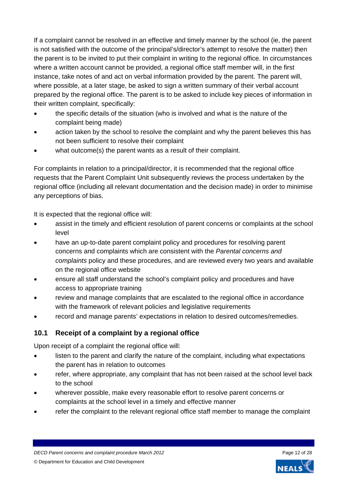If a complaint cannot be resolved in an effective and timely manner by the school (ie, the parent is not satisfied with the outcome of the principal's/director's attempt to resolve the matter) then the parent is to be invited to put their complaint in writing to the regional office. In circumstances where a written account cannot be provided, a regional office staff member will, in the first instance, take notes of and act on verbal information provided by the parent. The parent will, where possible, at a later stage, be asked to sign a written summary of their verbal account prepared by the regional office. The parent is to be asked to include key pieces of information in their written complaint, specifically:

- the specific details of the situation (who is involved and what is the nature of the complaint being made)
- action taken by the school to resolve the complaint and why the parent believes this has not been sufficient to resolve their complaint
- what outcome(s) the parent wants as a result of their complaint.

For complaints in relation to a principal/director, it is recommended that the regional office requests that the Parent Complaint Unit subsequently reviews the process undertaken by the regional office (including all relevant documentation and the decision made) in order to minimise any perceptions of bias.

It is expected that the regional office will:

- assist in the timely and efficient resolution of parent concerns or complaints at the school level
- have an up-to-date parent complaint policy and procedures for resolving parent concerns and complaints which are consistent with the *Parental concerns and complaints* policy and these procedures, and are reviewed every two years and available on the regional office website
- ensure all staff understand the school's complaint policy and procedures and have access to appropriate training
- review and manage complaints that are escalated to the regional office in accordance with the framework of relevant policies and legislative requirements
- record and manage parents' expectations in relation to desired outcomes/remedies.

## <span id="page-11-0"></span>**10.1 Receipt of a complaint by a regional office**

Upon receipt of a complaint the regional office will:

- listen to the parent and clarify the nature of the complaint, including what expectations the parent has in relation to outcomes
- refer, where appropriate, any complaint that has not been raised at the school level back to the school
- wherever possible, make every reasonable effort to resolve parent concerns or complaints at the school level in a timely and effective manner
- refer the complaint to the relevant regional office staff member to manage the complaint

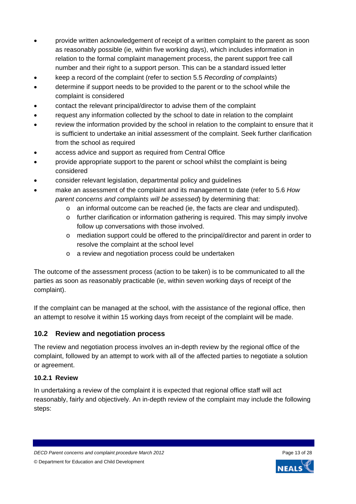- provide written acknowledgement of receipt of a written complaint to the parent as soon as reasonably possible (ie, within five working days), which includes information in relation to the formal complaint management process, the parent support free call number and their right to a support person. This can be a standard issued letter
- keep a record of the complaint (refer to section 5.5 *Recording of complaints*)
- determine if support needs to be provided to the parent or to the school while the complaint is considered
- contact the relevant principal/director to advise them of the complaint
- request any information collected by the school to date in relation to the complaint
- review the information provided by the school in relation to the complaint to ensure that it is sufficient to undertake an initial assessment of the complaint. Seek further clarification from the school as required
- access advice and support as required from Central Office
- provide appropriate support to the parent or school whilst the complaint is being considered
- consider relevant legislation, departmental policy and guidelines
- make an assessment of the complaint and its management to date (refer to 5.6 *How parent concerns and complaints will be assessed*) by determining that:
	- $\circ$  an informal outcome can be reached (ie, the facts are clear and undisputed).
	- o further clarification or information gathering is required. This may simply involve follow up conversations with those involved.
	- o mediation support could be offered to the principal/director and parent in order to resolve the complaint at the school level
	- o a review and negotiation process could be undertaken

The outcome of the assessment process (action to be taken) is to be communicated to all the parties as soon as reasonably practicable (ie, within seven working days of receipt of the complaint).

If the complaint can be managed at the school, with the assistance of the regional office, then an attempt to resolve it within 15 working days from receipt of the complaint will be made.

#### <span id="page-12-0"></span>**10.2 Review and negotiation process**

The review and negotiation process involves an in-depth review by the regional office of the complaint, followed by an attempt to work with all of the affected parties to negotiate a solution or agreement.

#### <span id="page-12-1"></span>**10.2.1 Review**

In undertaking a review of the complaint it is expected that regional office staff will act reasonably, fairly and objectively. An in-depth review of the complaint may include the following steps:

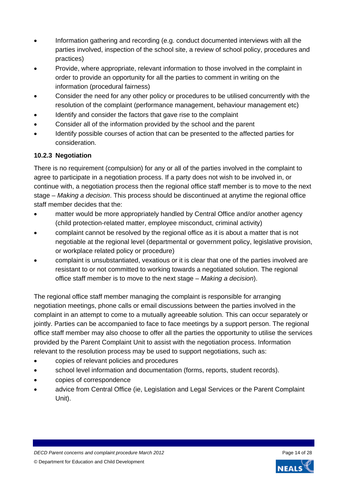- Information gathering and recording (e.g. conduct documented interviews with all the parties involved, inspection of the school site, a review of school policy, procedures and practices)
- Provide, where appropriate, relevant information to those involved in the complaint in order to provide an opportunity for all the parties to comment in writing on the information (procedural fairness)
- Consider the need for any other policy or procedures to be utilised concurrently with the resolution of the complaint (performance management, behaviour management etc)
- Identify and consider the factors that gave rise to the complaint
- Consider all of the information provided by the school and the parent
- Identify possible courses of action that can be presented to the affected parties for consideration.

#### <span id="page-13-0"></span>**10.2.3 Negotiation**

There is no requirement (compulsion) for any or all of the parties involved in the complaint to agree to participate in a negotiation process. If a party does not wish to be involved in, or continue with, a negotiation process then the regional office staff member is to move to the next stage – *Making a decision*. This process should be discontinued at anytime the regional office staff member decides that the:

- matter would be more appropriately handled by Central Office and/or another agency (child protection-related matter, employee misconduct, criminal activity)
- complaint cannot be resolved by the regional office as it is about a matter that is not negotiable at the regional level (departmental or government policy, legislative provision, or workplace related policy or procedure)
- complaint is unsubstantiated, vexatious or it is clear that one of the parties involved are resistant to or not committed to working towards a negotiated solution. The regional office staff member is to move to the next stage – *Making a decision*).

The regional office staff member managing the complaint is responsible for arranging negotiation meetings, phone calls or email discussions between the parties involved in the complaint in an attempt to come to a mutually agreeable solution. This can occur separately or jointly. Parties can be accompanied to face to face meetings by a support person. The regional office staff member may also choose to offer all the parties the opportunity to utilise the services provided by the Parent Complaint Unit to assist with the negotiation process. Information relevant to the resolution process may be used to support negotiations, such as:

- copies of relevant policies and procedures
- school level information and documentation (forms, reports, student records).
- copies of correspondence
- advice from Central Office (ie, Legislation and Legal Services or the Parent Complaint Unit).

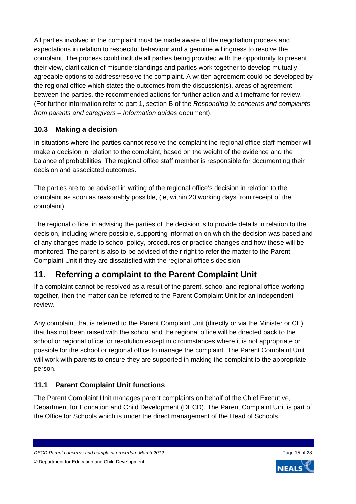All parties involved in the complaint must be made aware of the negotiation process and expectations in relation to respectful behaviour and a genuine willingness to resolve the complaint. The process could include all parties being provided with the opportunity to present their view, clarification of misunderstandings and parties work together to develop mutually agreeable options to address/resolve the complaint. A written agreement could be developed by the regional office which states the outcomes from the discussion(s), areas of agreement between the parties, the recommended actions for further action and a timeframe for review. (For further information refer to part 1, section B of the *Responding to concerns and complaints from parents and caregivers – Information guides* document).

## <span id="page-14-0"></span>**10.3 Making a decision**

In situations where the parties cannot resolve the complaint the regional office staff member will make a decision in relation to the complaint, based on the weight of the evidence and the balance of probabilities. The regional office staff member is responsible for documenting their decision and associated outcomes.

The parties are to be advised in writing of the regional office's decision in relation to the complaint as soon as reasonably possible, (ie, within 20 working days from receipt of the complaint).

The regional office, in advising the parties of the decision is to provide details in relation to the decision, including where possible, supporting information on which the decision was based and of any changes made to school policy, procedures or practice changes and how these will be monitored. The parent is also to be advised of their right to refer the matter to the Parent Complaint Unit if they are dissatisfied with the regional office's decision.

# <span id="page-14-1"></span>**11. Referring a complaint to the Parent Complaint Unit**

If a complaint cannot be resolved as a result of the parent, school and regional office working together, then the matter can be referred to the Parent Complaint Unit for an independent review.

Any complaint that is referred to the Parent Complaint Unit (directly or via the Minister or CE) that has not been raised with the school and the regional office will be directed back to the school or regional office for resolution except in circumstances where it is not appropriate or possible for the school or regional office to manage the complaint. The Parent Complaint Unit will work with parents to ensure they are supported in making the complaint to the appropriate person.

## <span id="page-14-2"></span>**11.1 Parent Complaint Unit functions**

The Parent Complaint Unit manages parent complaints on behalf of the Chief Executive, Department for Education and Child Development (DECD). The Parent Complaint Unit is part of the Office for Schools which is under the direct management of the Head of Schools.

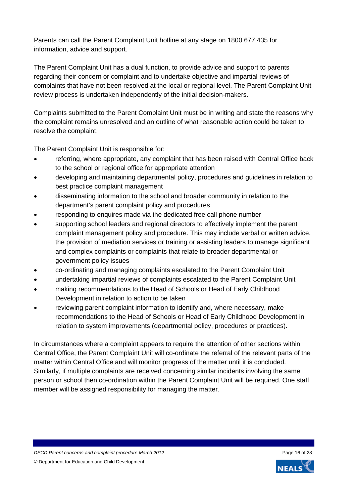Parents can call the Parent Complaint Unit hotline at any stage on 1800 677 435 for information, advice and support.

The Parent Complaint Unit has a dual function, to provide advice and support to parents regarding their concern or complaint and to undertake objective and impartial reviews of complaints that have not been resolved at the local or regional level. The Parent Complaint Unit review process is undertaken independently of the initial decision-makers.

Complaints submitted to the Parent Complaint Unit must be in writing and state the reasons why the complaint remains unresolved and an outline of what reasonable action could be taken to resolve the complaint.

The Parent Complaint Unit is responsible for:

- referring, where appropriate, any complaint that has been raised with Central Office back to the school or regional office for appropriate attention
- developing and maintaining departmental policy, procedures and guidelines in relation to best practice complaint management
- disseminating information to the school and broader community in relation to the department's parent complaint policy and procedures
- responding to enquires made via the dedicated free call phone number
- supporting school leaders and regional directors to effectively implement the parent complaint management policy and procedure. This may include verbal or written advice, the provision of mediation services or training or assisting leaders to manage significant and complex complaints or complaints that relate to broader departmental or government policy issues
- co-ordinating and managing complaints escalated to the Parent Complaint Unit
- undertaking impartial reviews of complaints escalated to the Parent Complaint Unit
- making recommendations to the Head of Schools or Head of Early Childhood Development in relation to action to be taken
- reviewing parent complaint information to identify and, where necessary, make recommendations to the Head of Schools or Head of Early Childhood Development in relation to system improvements (departmental policy, procedures or practices).

In circumstances where a complaint appears to require the attention of other sections within Central Office, the Parent Complaint Unit will co-ordinate the referral of the relevant parts of the matter within Central Office and will monitor progress of the matter until it is concluded. Similarly, if multiple complaints are received concerning similar incidents involving the same person or school then co-ordination within the Parent Complaint Unit will be required. One staff member will be assigned responsibility for managing the matter.

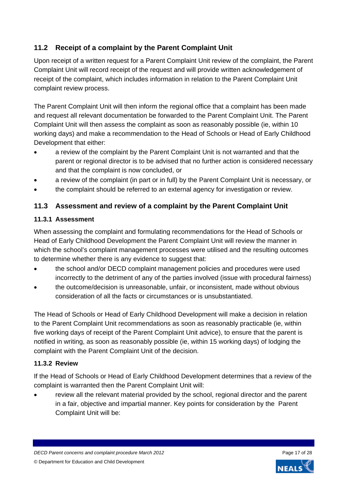## **11.2 Receipt of a complaint by the Parent Complaint Unit**

Upon receipt of a written request for a Parent Complaint Unit review of the complaint, the Parent Complaint Unit will record receipt of the request and will provide written acknowledgement of receipt of the complaint, which includes information in relation to the Parent Complaint Unit complaint review process.

The Parent Complaint Unit will then inform the regional office that a complaint has been made and request all relevant documentation be forwarded to the Parent Complaint Unit. The Parent Complaint Unit will then assess the complaint as soon as reasonably possible (ie, within 10 working days) and make a recommendation to the Head of Schools or Head of Early Childhood Development that either:

- a review of the complaint by the Parent Complaint Unit is not warranted and that the parent or regional director is to be advised that no further action is considered necessary and that the complaint is now concluded, or
- a review of the complaint (in part or in full) by the Parent Complaint Unit is necessary, or
- the complaint should be referred to an external agency for investigation or review.

#### <span id="page-16-1"></span>**11.3 Assessment and review of a complaint by the Parent Complaint Unit**

#### <span id="page-16-2"></span>**11.3.1 Assessment**

When assessing the complaint and formulating recommendations for the Head of Schools or Head of Early Childhood Development the Parent Complaint Unit will review the manner in which the school's complaint management processes were utilised and the resulting outcomes to determine whether there is any evidence to suggest that:

- the school and/or DECD complaint management policies and procedures were used incorrectly to the detriment of any of the parties involved (issue with procedural fairness)
- the outcome/decision is unreasonable, unfair, or inconsistent, made without obvious consideration of all the facts or circumstances or is unsubstantiated.

The Head of Schools or Head of Early Childhood Development will make a decision in relation to the Parent Complaint Unit recommendations as soon as reasonably practicable (ie, within five working days of receipt of the Parent Complaint Unit advice), to ensure that the parent is notified in writing, as soon as reasonably possible (ie, within 15 working days) of lodging the complaint with the Parent Complaint Unit of the decision.

#### <span id="page-16-3"></span>**11.3.2 Review**

If the Head of Schools or Head of Early Childhood Development determines that a review of the complaint is warranted then the Parent Complaint Unit will:

<span id="page-16-0"></span> review all the relevant material provided by the school, regional director and the parent in a fair, objective and impartial manner. Key points for consideration by the Parent Complaint Unit will be:

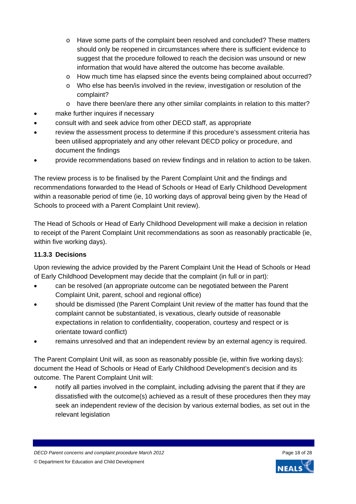- o Have some parts of the complaint been resolved and concluded? These matters should only be reopened in circumstances where there is sufficient evidence to suggest that the procedure followed to reach the decision was unsound or new information that would have altered the outcome has become available.
- o How much time has elapsed since the events being complained about occurred?
- o Who else has been/is involved in the review, investigation or resolution of the complaint?
- o have there been/are there any other similar complaints in relation to this matter?
- make further inquires if necessary
- consult with and seek advice from other DECD staff, as appropriate
- review the assessment process to determine if this procedure's assessment criteria has been utilised appropriately and any other relevant DECD policy or procedure, and document the findings
- provide recommendations based on review findings and in relation to action to be taken.

The review process is to be finalised by the Parent Complaint Unit and the findings and recommendations forwarded to the Head of Schools or Head of Early Childhood Development within a reasonable period of time (ie, 10 working days of approval being given by the Head of Schools to proceed with a Parent Complaint Unit review).

The Head of Schools or Head of Early Childhood Development will make a decision in relation to receipt of the Parent Complaint Unit recommendations as soon as reasonably practicable (ie, within five working days).

#### <span id="page-17-0"></span>**11.3.3 Decisions**

Upon reviewing the advice provided by the Parent Complaint Unit the Head of Schools or Head of Early Childhood Development may decide that the complaint (in full or in part):

- can be resolved (an appropriate outcome can be negotiated between the Parent Complaint Unit, parent, school and regional office)
- should be dismissed (the Parent Complaint Unit review of the matter has found that the complaint cannot be substantiated, is vexatious, clearly outside of reasonable expectations in relation to confidentiality, cooperation, courtesy and respect or is orientate toward conflict)
- remains unresolved and that an independent review by an external agency is required.

The Parent Complaint Unit will, as soon as reasonably possible (ie, within five working days): document the Head of Schools or Head of Early Childhood Development's decision and its outcome. The Parent Complaint Unit will:

 notify all parties involved in the complaint, including advising the parent that if they are dissatisfied with the outcome(s) achieved as a result of these procedures then they may seek an independent review of the decision by various external bodies, as set out in the relevant legislation

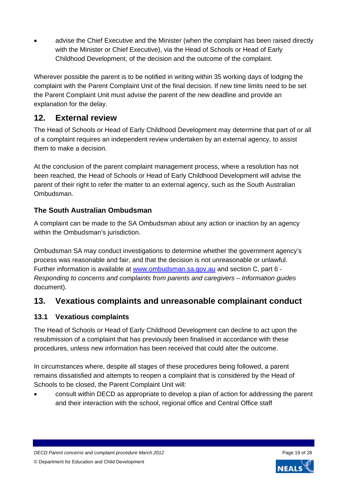advise the Chief Executive and the Minister (when the complaint has been raised directly with the Minister or Chief Executive), via the Head of Schools or Head of Early Childhood Development, of the decision and the outcome of the complaint.

Wherever possible the parent is to be notified in writing within 35 working days of lodging the complaint with the Parent Complaint Unit of the final decision. If new time limits need to be set the Parent Complaint Unit must advise the parent of the new deadline and provide an explanation for the delay.

## <span id="page-18-0"></span>**12. External review**

The Head of Schools or Head of Early Childhood Development may determine that part of or all of a complaint requires an independent review undertaken by an external agency, to assist them to make a decision.

At the conclusion of the parent complaint management process, where a resolution has not been reached, the Head of Schools or Head of Early Childhood Development will advise the parent of their right to refer the matter to an external agency, such as the South Australian Ombudsman.

## <span id="page-18-1"></span>**The South Australian Ombudsman**

A complaint can be made to the SA Ombudsman about any action or inaction by an agency within the Ombudsman's jurisdiction.

Ombudsman SA may conduct investigations to determine whether the government agency's process was reasonable and fair, and that the decision is not unreasonable or unlawful. Further information is available at [www.ombudsman.sa.gov.au](http://www.ombudsman.sa.gov.au/) and section C, part 6 - *Responding to concerns and complaints from parents and caregivers – Information guides* document).

# <span id="page-18-2"></span>**13. Vexatious complaints and unreasonable complainant conduct**

## <span id="page-18-3"></span>**13.1 Vexatious complaints**

The Head of Schools or Head of Early Childhood Development can decline to act upon the resubmission of a complaint that has previously been finalised in accordance with these procedures, unless new information has been received that could alter the outcome.

In circumstances where, despite all stages of these procedures being followed, a parent remains dissatisfied and attempts to reopen a complaint that is considered by the Head of Schools to be closed, the Parent Complaint Unit will:

 consult within DECD as appropriate to develop a plan of action for addressing the parent and their interaction with the school, regional office and Central Office staff

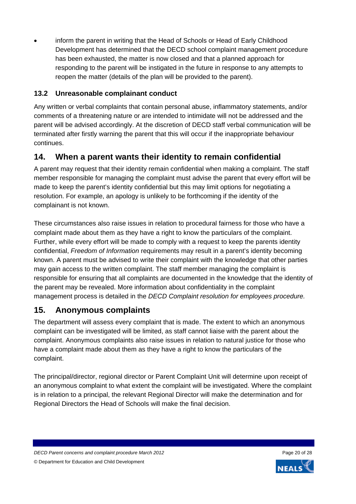inform the parent in writing that the Head of Schools or Head of Early Childhood Development has determined that the DECD school complaint management procedure has been exhausted, the matter is now closed and that a planned approach for responding to the parent will be instigated in the future in response to any attempts to reopen the matter (details of the plan will be provided to the parent).

## <span id="page-19-0"></span>**13.2 Unreasonable complainant conduct**

Any written or verbal complaints that contain personal abuse, inflammatory statements, and/or comments of a threatening nature or are intended to intimidate will not be addressed and the parent will be advised accordingly. At the discretion of DECD staff verbal communication will be terminated after firstly warning the parent that this will occur if the inappropriate behaviour continues.

# <span id="page-19-1"></span>**14. When a parent wants their identity to remain confidential**

A parent may request that their identity remain confidential when making a complaint. The staff member responsible for managing the complaint must advise the parent that every effort will be made to keep the parent's identity confidential but this may limit options for negotiating a resolution. For example, an apology is unlikely to be forthcoming if the identity of the complainant is not known.

These circumstances also raise issues in relation to procedural fairness for those who have a complaint made about them as they have a right to know the particulars of the complaint. Further, while every effort will be made to comply with a request to keep the parents identity confidential, *Freedom of Information* requirements may result in a parent's identity becoming known. A parent must be advised to write their complaint with the knowledge that other parties may gain access to the written complaint. The staff member managing the complaint is responsible for ensuring that all complaints are documented in the knowledge that the identity of the parent may be revealed. More information about confidentiality in the complaint management process is detailed in the *DECD Complaint resolution for employees procedure.*

## <span id="page-19-2"></span>**15. Anonymous complaints**

The department will assess every complaint that is made. The extent to which an anonymous complaint can be investigated will be limited, as staff cannot liaise with the parent about the complaint. Anonymous complaints also raise issues in relation to natural justice for those who have a complaint made about them as they have a right to know the particulars of the complaint.

The principal/director, regional director or Parent Complaint Unit will determine upon receipt of an anonymous complaint to what extent the complaint will be investigated. Where the complaint is in relation to a principal, the relevant Regional Director will make the determination and for Regional Directors the Head of Schools will make the final decision.

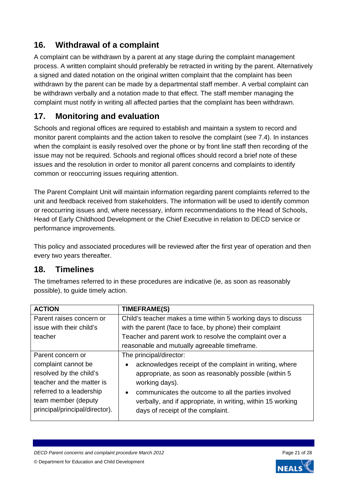# **16. Withdrawal of a complaint**

A complaint can be withdrawn by a parent at any stage during the complaint management process. A written complaint should preferably be retracted in writing by the parent. Alternatively a signed and dated notation on the original written complaint that the complaint has been withdrawn by the parent can be made by a departmental staff member. A verbal complaint can be withdrawn verbally and a notation made to that effect. The staff member managing the complaint must notify in writing all affected parties that the complaint has been withdrawn.

# <span id="page-20-1"></span>**17. Monitoring and evaluation**

Schools and regional offices are required to establish and maintain a system to record and monitor parent complaints and the action taken to resolve the complaint (see 7.4). In instances when the complaint is easily resolved over the phone or by front line staff then recording of the issue may not be required. Schools and regional offices should record a brief note of these issues and the resolution in order to monitor all parent concerns and complaints to identify common or reoccurring issues requiring attention.

The Parent Complaint Unit will maintain information regarding parent complaints referred to the unit and feedback received from stakeholders. The information will be used to identify common or reoccurring issues and, where necessary, inform recommendations to the Head of Schools, Head of Early Childhood Development or the Chief Executive in relation to DECD service or performance improvements.

This policy and associated procedures will be reviewed after the first year of operation and then every two years thereafter.

## <span id="page-20-2"></span>**18. Timelines**

The timeframes referred to in these procedures are indicative (ie, as soon as reasonably possible), to guide timely action.

<span id="page-20-0"></span>

| <b>ACTION</b>                  | <b>TIMEFRAME(S)</b>                                               |
|--------------------------------|-------------------------------------------------------------------|
| Parent raises concern or       | Child's teacher makes a time within 5 working days to discuss     |
| issue with their child's       | with the parent (face to face, by phone) their complaint          |
| teacher                        | Teacher and parent work to resolve the complaint over a           |
|                                | reasonable and mutually agreeable timeframe.                      |
| Parent concern or              | The principal/director:                                           |
| complaint cannot be            | acknowledges receipt of the complaint in writing, where           |
| resolved by the child's        | appropriate, as soon as reasonably possible (within 5)            |
| teacher and the matter is      | working days).                                                    |
| referred to a leadership       | communicates the outcome to all the parties involved<br>$\bullet$ |
| team member (deputy            | verbally, and if appropriate, in writing, within 15 working       |
| principal/principal/director). | days of receipt of the complaint.                                 |
|                                |                                                                   |

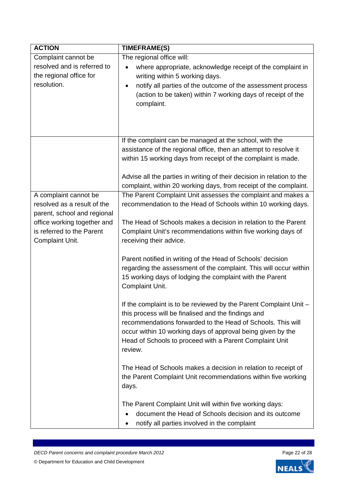| <b>ACTION</b>               | <b>TIMEFRAME(S)</b>                                                                                                                                                                                             |
|-----------------------------|-----------------------------------------------------------------------------------------------------------------------------------------------------------------------------------------------------------------|
| Complaint cannot be         | The regional office will:                                                                                                                                                                                       |
| resolved and is referred to | where appropriate, acknowledge receipt of the complaint in<br>$\bullet$                                                                                                                                         |
| the regional office for     | writing within 5 working days.                                                                                                                                                                                  |
| resolution.                 | notify all parties of the outcome of the assessment process<br>$\bullet$<br>(action to be taken) within 7 working days of receipt of the<br>complaint.                                                          |
|                             |                                                                                                                                                                                                                 |
|                             | If the complaint can be managed at the school, with the                                                                                                                                                         |
|                             | assistance of the regional office, then an attempt to resolve it                                                                                                                                                |
|                             | within 15 working days from receipt of the complaint is made.                                                                                                                                                   |
|                             | Advise all the parties in writing of their decision in relation to the<br>complaint, within 20 working days, from receipt of the complaint.                                                                     |
| A complaint cannot be       | The Parent Complaint Unit assesses the complaint and makes a                                                                                                                                                    |
| resolved as a result of the | recommendation to the Head of Schools within 10 working days.                                                                                                                                                   |
| parent, school and regional |                                                                                                                                                                                                                 |
| office working together and | The Head of Schools makes a decision in relation to the Parent                                                                                                                                                  |
| is referred to the Parent   | Complaint Unit's recommendations within five working days of                                                                                                                                                    |
| Complaint Unit.             | receiving their advice.                                                                                                                                                                                         |
|                             | Parent notified in writing of the Head of Schools' decision<br>regarding the assessment of the complaint. This will occur within<br>15 working days of lodging the complaint with the Parent<br>Complaint Unit. |
|                             | If the complaint is to be reviewed by the Parent Complaint Unit -                                                                                                                                               |
|                             | this process will be finalised and the findings and                                                                                                                                                             |
|                             | recommendations forwarded to the Head of Schools. This will                                                                                                                                                     |
|                             | occur within 10 working days of approval being given by the                                                                                                                                                     |
|                             | Head of Schools to proceed with a Parent Complaint Unit<br>review.                                                                                                                                              |
|                             | The Head of Schools makes a decision in relation to receipt of                                                                                                                                                  |
|                             | the Parent Complaint Unit recommendations within five working<br>days.                                                                                                                                          |
|                             | The Parent Complaint Unit will within five working days:                                                                                                                                                        |
|                             | document the Head of Schools decision and its outcome                                                                                                                                                           |
|                             | notify all parties involved in the complaint                                                                                                                                                                    |
|                             |                                                                                                                                                                                                                 |



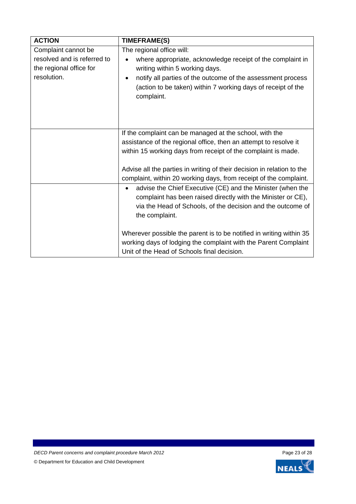| <b>ACTION</b>               | TIMEFRAME(S)                                                                                                                           |
|-----------------------------|----------------------------------------------------------------------------------------------------------------------------------------|
| Complaint cannot be         | The regional office will:                                                                                                              |
| resolved and is referred to | where appropriate, acknowledge receipt of the complaint in                                                                             |
| the regional office for     | writing within 5 working days.                                                                                                         |
| resolution.                 | notify all parties of the outcome of the assessment process<br>٠                                                                       |
|                             | (action to be taken) within 7 working days of receipt of the                                                                           |
|                             | complaint.                                                                                                                             |
|                             |                                                                                                                                        |
|                             |                                                                                                                                        |
|                             | If the complaint can be managed at the school, with the                                                                                |
|                             | assistance of the regional office, then an attempt to resolve it                                                                       |
|                             | within 15 working days from receipt of the complaint is made.                                                                          |
|                             |                                                                                                                                        |
|                             | Advise all the parties in writing of their decision in relation to the                                                                 |
|                             | complaint, within 20 working days, from receipt of the complaint.                                                                      |
|                             | advise the Chief Executive (CE) and the Minister (when the<br>$\bullet$                                                                |
|                             | complaint has been raised directly with the Minister or CE),                                                                           |
|                             | via the Head of Schools, of the decision and the outcome of                                                                            |
|                             | the complaint.                                                                                                                         |
|                             |                                                                                                                                        |
|                             | Wherever possible the parent is to be notified in writing within 35<br>working days of lodging the complaint with the Parent Complaint |
|                             | Unit of the Head of Schools final decision.                                                                                            |
|                             |                                                                                                                                        |

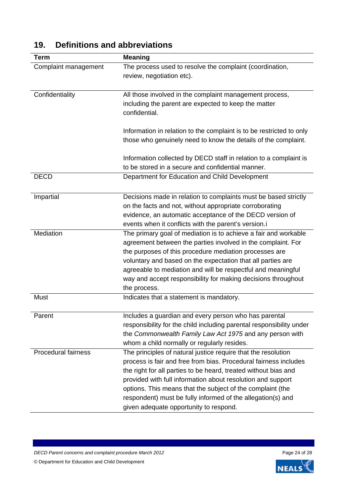| <b>Term</b>                | <b>Meaning</b>                                                       |
|----------------------------|----------------------------------------------------------------------|
| Complaint management       | The process used to resolve the complaint (coordination,             |
|                            | review, negotiation etc).                                            |
|                            |                                                                      |
| Confidentiality            | All those involved in the complaint management process,              |
|                            | including the parent are expected to keep the matter                 |
|                            | confidential.                                                        |
|                            |                                                                      |
|                            | Information in relation to the complaint is to be restricted to only |
|                            | those who genuinely need to know the details of the complaint.       |
|                            | Information collected by DECD staff in relation to a complaint is    |
|                            | to be stored in a secure and confidential manner.                    |
| <b>DECD</b>                | Department for Education and Child Development                       |
|                            |                                                                      |
| Impartial                  | Decisions made in relation to complaints must be based strictly      |
|                            | on the facts and not, without appropriate corroborating              |
|                            | evidence, an automatic acceptance of the DECD version of             |
|                            | events when it conflicts with the parent's version.i                 |
| Mediation                  | The primary goal of mediation is to achieve a fair and workable      |
|                            | agreement between the parties involved in the complaint. For         |
|                            | the purposes of this procedure mediation processes are               |
|                            | voluntary and based on the expectation that all parties are          |
|                            | agreeable to mediation and will be respectful and meaningful         |
|                            | way and accept responsibility for making decisions throughout        |
|                            | the process.                                                         |
| Must                       | Indicates that a statement is mandatory.                             |
|                            |                                                                      |
| Parent                     | Includes a guardian and every person who has parental                |
|                            | responsibility for the child including parental responsibility under |
|                            | the Commonwealth Family Law Act 1975 and any person with             |
|                            | whom a child normally or regularly resides.                          |
| <b>Procedural fairness</b> | The principles of natural justice require that the resolution        |
|                            | process is fair and free from bias. Procedural fairness includes     |
|                            | the right for all parties to be heard, treated without bias and      |
|                            | provided with full information about resolution and support          |
|                            | options. This means that the subject of the complaint (the           |
|                            | respondent) must be fully informed of the allegation(s) and          |
|                            | given adequate opportunity to respond.                               |

# <span id="page-23-0"></span>**19. Definitions and abbreviations**

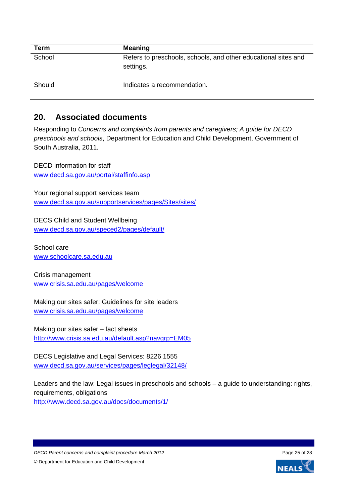| Term   | <b>Meaning</b>                                                              |
|--------|-----------------------------------------------------------------------------|
| School | Refers to preschools, schools, and other educational sites and<br>settings. |
| Should | Indicates a recommendation.                                                 |

## <span id="page-24-0"></span>**20. Associated documents**

Responding to *Concerns and complaints from parents and caregivers; A guide for DECD preschools and schools*, Department for Education and Child Development, Government of South Australia, 2011.

DECD information for staff [www.decd.sa.gov.au/portal/staffinfo.asp](http://www.decd.sa.gov.au/portal/staffinfo.asp)

Your regional support services team [www.decd.sa.gov.au/supportservices/pages/Sites/sites/](http://www.decd.sa.gov.au/supportservices/pages/Sites/sites/)

DECS Child and Student Wellbeing [www.decd.sa.gov.au/speced2/pages/default/](http://www.decd.sa.gov.au/speced2/pages/default/)

School care [www.schoolcare.sa.edu.au](http://www.schoolcare.sa.edu.au/)

Crisis management [www.crisis.sa.edu.au/pages/welcome](http://www.crisis.sa.edu.au/pages/welcome)

Making our sites safer: Guidelines for site leaders [www.crisis.sa.edu.au/pages/welcome](http://www.crisis.sa.edu.au/pages/welcome)

Making our sites safer – fact sheets <http://www.crisis.sa.edu.au/default.asp?navgrp=EM05>

DECS Legislative and Legal Services: 8226 1555 [www.decd.sa.gov.au/services/pages/leglegal/32148/](http://www.decd.sa.gov.au/services/pages/leglegal/32148/)

Leaders and the law: Legal issues in preschools and schools – a guide to understanding: rights, requirements, obligations

<http://www.decd.sa.gov.au/docs/documents/1/>

*DECD Parent concerns and complaint procedure March 2012* Page 25 of 28 © Department for Education and Child Development

**NEAL**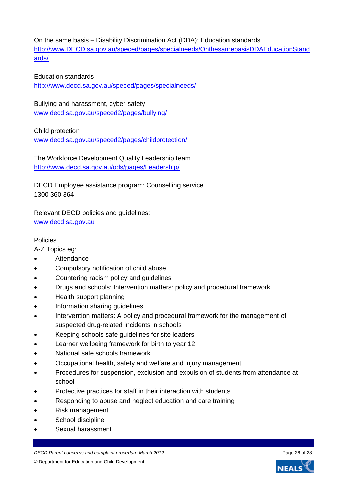On the same basis – Disability Discrimination Act (DDA): Education standards [http://www.DECD.sa.gov.au/speced/pages/specialneeds/OnthesamebasisDDAEducationStand](http://www.decd.sa.gov.au/speced/pages/specialneeds/OnthesamebasisDDAEducationStandards/) [ards/](http://www.decd.sa.gov.au/speced/pages/specialneeds/OnthesamebasisDDAEducationStandards/)

#### Education standards

<http://www.decd.sa.gov.au/speced/pages/specialneeds/>

Bullying and harassment, cyber safety [www.decd.sa.gov.au/speced2/pages/bullying/](http://www.decd.sa.gov.au/speced2/pages/bullying/)

Child protection

[www.decd.sa.gov.au/speced2/pages/childprotection/](http://www.decd.sa.gov.au/speced2/pages/childprotection/)

The Workforce Development Quality Leadership team <http://www.decd.sa.gov.au/ods/pages/Leadership/>

DECD Employee assistance program: Counselling service 1300 360 364

Relevant DECD policies and guidelines: [www.decd.sa.gov.au](http://www.decd.sa.gov.au/)

#### Policies

A-Z Topics eg:

- Attendance
- Compulsory notification of child abuse
- Countering racism policy and guidelines
- Drugs and schools: Intervention matters: policy and procedural framework
- Health support planning
- Information sharing guidelines
- Intervention matters: A policy and procedural framework for the management of suspected drug-related incidents in schools
- Keeping schools safe guidelines for site leaders
- Learner wellbeing framework for birth to year 12
- National safe schools framework
- Occupational health, safety and welfare and injury management
- Procedures for suspension, exclusion and expulsion of students from attendance at school
- Protective practices for staff in their interaction with students
- Responding to abuse and neglect education and care training
- Risk management
- School discipline
- Sexual harassment

*DECD Parent concerns and complaint procedure March 2012* Page 26 of 28 © Department for Education and Child Development

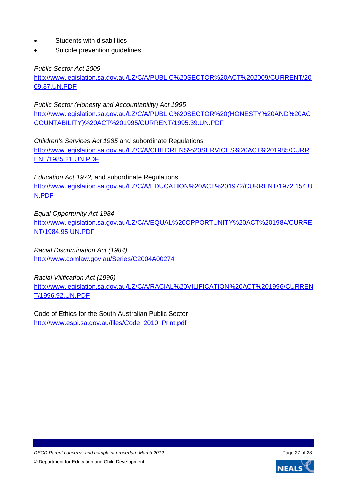- Students with disabilities
- Suicide prevention guidelines.

*Public Sector Act 2009* 

[http://www.legislation.sa.gov.au/LZ/C/A/PUBLIC%20SECTOR%20ACT%202009/CURRENT/20](http://www.legislation.sa.gov.au/LZ/C/A/PUBLIC%20SECTOR%20ACT%202009/CURRENT/2009.37.UN.PDF) [09.37.UN.PDF](http://www.legislation.sa.gov.au/LZ/C/A/PUBLIC%20SECTOR%20ACT%202009/CURRENT/2009.37.UN.PDF)

*Public Sector (Honesty and Accountability) Act 1995* 

[http://www.legislation.sa.gov.au/LZ/C/A/PUBLIC%20SECTOR%20\(HONESTY%20AND%20AC](http://www.legislation.sa.gov.au/LZ/C/A/PUBLIC%20SECTOR%20(HONESTY%20AND%20ACCOUNTABILITY)%20ACT%201995/CURRENT/1995.39.UN.PDF) [COUNTABILITY\)%20ACT%201995/CURRENT/1995.39.UN.PDF](http://www.legislation.sa.gov.au/LZ/C/A/PUBLIC%20SECTOR%20(HONESTY%20AND%20ACCOUNTABILITY)%20ACT%201995/CURRENT/1995.39.UN.PDF)

*Children's Services Act 1985* and subordinate Regulations [http://www.legislation.sa.gov.au/LZ/C/A/CHILDRENS%20SERVICES%20ACT%201985/CURR](http://www.legislation.sa.gov.au/LZ/C/A/CHILDRENS%20SERVICES%20ACT%201985/CURRENT/1985.21.UN.PDF) [ENT/1985.21.UN.PDF](http://www.legislation.sa.gov.au/LZ/C/A/CHILDRENS%20SERVICES%20ACT%201985/CURRENT/1985.21.UN.PDF)

*Education Act 1972,* and subordinate Regulations [http://www.legislation.sa.gov.au/LZ/C/A/EDUCATION%20ACT%201972/CURRENT/1972.154.U](http://www.legislation.sa.gov.au/LZ/C/A/EDUCATION%20ACT%201972/CURRENT/1972.154.UN.PDF) [N.PDF](http://www.legislation.sa.gov.au/LZ/C/A/EDUCATION%20ACT%201972/CURRENT/1972.154.UN.PDF)

*Equal Opportunity Act 1984* 

[http://www.legislation.sa.gov.au/LZ/C/A/EQUAL%20OPPORTUNITY%20ACT%201984/CURRE](http://www.legislation.sa.gov.au/LZ/C/A/EQUAL%20OPPORTUNITY%20ACT%201984/CURRENT/1984.95.UN.PDF) [NT/1984.95.UN.PDF](http://www.legislation.sa.gov.au/LZ/C/A/EQUAL%20OPPORTUNITY%20ACT%201984/CURRENT/1984.95.UN.PDF)

*Racial Discrimination Act (1984)* <http://www.comlaw.gov.au/Series/C2004A00274>

*Racial Vilification Act (1996)* 

[http://www.legislation.sa.gov.au/LZ/C/A/RACIAL%20VILIFICATION%20ACT%201996/CURREN](http://www.legislation.sa.gov.au/LZ/C/A/RACIAL%20VILIFICATION%20ACT%201996/CURRENT/1996.92.UN.PDF) [T/1996.92.UN.PDF](http://www.legislation.sa.gov.au/LZ/C/A/RACIAL%20VILIFICATION%20ACT%201996/CURRENT/1996.92.UN.PDF)

Code of Ethics for the South Australian Public Sector [http://www.espi.sa.gov.au/files/Code\\_2010\\_Print.pdf](http://www.espi.sa.gov.au/files/Code_2010_Print.pdf)